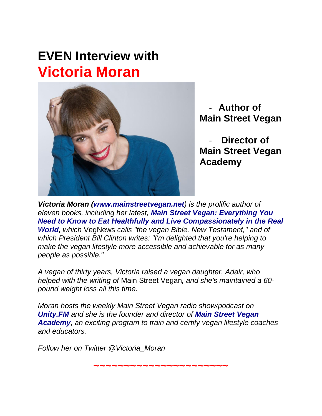# **EVEN Interview with Victoria Moran**



- **Author of Main Street Vegan**

Director of **Main Street Vegan Academy**

*Victoria Moran [\(www.mainstreetvegan.net](http://www.mainstreetvegan.net/)) is the prolific author of eleven books, including her latest, [Main Street Vegan: Everything You](http://www.amazon.com/Main-Street-Vegan-Healthfully-Compassionately/dp/1585429333/ref=sr_1_1?ie=UTF8&qid=1329940484&sr=8-1)  Need to [Know to Eat Healthfully and Live Compassionately in the Real](http://www.amazon.com/Main-Street-Vegan-Healthfully-Compassionately/dp/1585429333/ref=sr_1_1?ie=UTF8&qid=1329940484&sr=8-1)  [World,](http://www.amazon.com/Main-Street-Vegan-Healthfully-Compassionately/dp/1585429333/ref=sr_1_1?ie=UTF8&qid=1329940484&sr=8-1) which* VegNews *calls "the vegan Bible, New Testament," and of which President Bill Clinton writes: "I'm delighted that you're helping to make the vegan lifestyle more accessible and achievable for as many people as possible."* 

*A vegan of thirty years, Victoria raised a vegan daughter, Adair, who helped with the writing of* Main Street Vegan*, and she's maintained a 60 pound weight loss all this time.* 

*Moran hosts the weekly Main Street Vegan radio show/podcast on [Unity.FM](http://unity.fm/program/mainstreetvegan) and she is the founder and director of [Main Street Vegan](http://mainstreetvegan.net/academy/)  [Academy,](http://mainstreetvegan.net/academy/) an exciting program to train and certify vegan lifestyle coaches and educators.* 

*Follow her on Twitter @Victoria\_Moran*

**~~~~~~~~~~~~~~~~~~~~~~**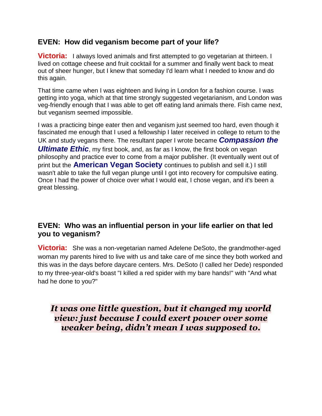#### **EVEN: How did veganism become part of your life?**

**Victoria:** I always loved animals and first attempted to go vegetarian at thirteen. I lived on cottage cheese and fruit cocktail for a summer and finally went back to meat out of sheer hunger, but I knew that someday I'd learn what I needed to know and do this again.

That time came when I was eighteen and living in London for a fashion course. I was getting into yoga, which at that time strongly suggested vegetarianism, and London was veg-friendly enough that I was able to get off eating land animals there. Fish came next, but veganism seemed impossible.

I was a practicing binge eater then and veganism just seemed too hard, even though it fascinated me enough that I used a fellowship I later received in college to return to the UK and study vegans there. The resultant paper I wrote became *[Compassion the](http://www.amazon.com/Compassion-Ultimate-Ethic-Exploration-Veganism/dp/0722509537/ref=sr_1_2?ie=UTF8&qid=1368464293&sr=8-2&keywords=compassion+the+ultimate+ethic)*  **[Ultimate Ethic](http://www.amazon.com/Compassion-Ultimate-Ethic-Exploration-Veganism/dp/0722509537/ref=sr_1_2?ie=UTF8&qid=1368464293&sr=8-2&keywords=compassion+the+ultimate+ethic)**, my first book, and, as far as I know, the first book on vegan philosophy and practice ever to come from a major publisher. (It eventually went out of print but the **American [Vegan Society](http://americanvegan.org/AV%2012-4%20Books%20Winter2012%202013.pdf)** continues to publish and sell it.) I still wasn't able to take the full vegan plunge until I got into recovery for compulsive eating. Once I had the power of choice over what I would eat, I chose vegan, and it's been a great blessing.

#### **EVEN: Who was an influential person in your life earlier on that led you to veganism?**

**Victoria:** She was a non-vegetarian named Adelene DeSoto, the grandmother-aged woman my parents hired to live with us and take care of me since they both worked and this was in the days before daycare centers. Mrs. DeSoto (I called her Dede) responded to my three-year-old's boast "I killed a red spider with my bare hands!" with "And what had he done to you?"

## *It was one little question, but it changed my world view: just because I could exert power over some weaker being, didn't mean I was supposed to.*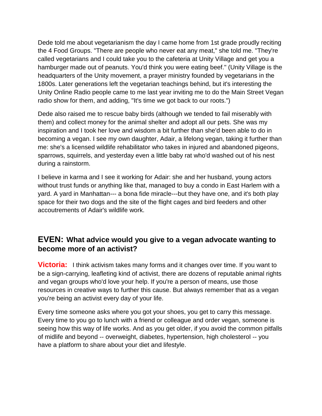Dede told me about vegetarianism the day I came home from 1st grade proudly reciting the 4 Food Groups. "There are people who never eat any meat," she told me. "They're called vegetarians and I could take you to the cafeteria at Unity Village and get you a hamburger made out of peanuts. You'd think you were eating beef." (Unity Village is the headquarters of the Unity movement, a prayer ministry founded by vegetarians in the 1800s. Later generations left the vegetarian teachings behind, but it's interesting the Unity Online Radio people came to me last year inviting me to do the Main Street Vegan radio show for them, and adding, "It's time we got back to our roots.")

Dede also raised me to rescue baby birds (although we tended to fail miserably with them) and collect money for the animal shelter and adopt all our pets. She was my inspiration and I took her love and wisdom a bit further than she'd been able to do in becoming a vegan. I see my own daughter, Adair, a lifelong vegan, taking it further than me: she's a licensed wildlife rehabilitator who takes in injured and abandoned pigeons, sparrows, squirrels, and yesterday even a little baby rat who'd washed out of his nest during a rainstorm.

I believe in karma and I see it working for Adair: she and her husband, young actors without trust funds or anything like that, managed to buy a condo in East Harlem with a yard. A yard in Manhattan--- a bona fide miracle---but they have one, and it's both play space for their two dogs and the site of the flight cages and bird feeders and other accoutrements of Adair's wildlife work.

### **EVEN: What advice would you give to a vegan advocate wanting to become more of an activist?**

**Victoria:** I think activism takes many forms and it changes over time. If you want to be a sign-carrying, leafleting kind of activist, there are dozens of reputable animal rights and vegan groups who'd love your help. If you're a person of means, use those resources in creative ways to further this cause. But always remember that as a vegan you're being an activist every day of your life.

Every time someone asks where you got your shoes, you get to carry this message. Every time to you go to lunch with a friend or colleague and order vegan, someone is seeing how this way of life works. And as you get older, if you avoid the common pitfalls of midlife and beyond -- overweight, diabetes, hypertension, high cholesterol -- you have a platform to share about your diet and lifestyle.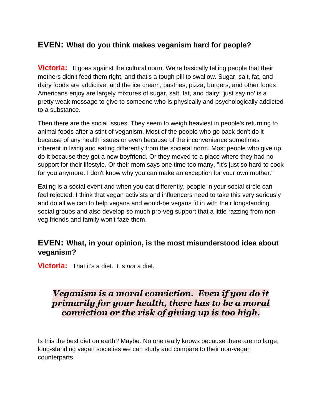## **EVEN: What do you think makes veganism hard for people?**

**Victoria:** It goes against the cultural norm. We're basically telling people that their mothers didn't feed them right, and that's a tough pill to swallow. Sugar, salt, fat, and dairy foods are addictive, and the ice cream, pastries, pizza, burgers, and other foods Americans enjoy are largely mixtures of sugar, salt, fat, and dairy: 'just say no' is a pretty weak message to give to someone who is physically and psychologically addicted to a substance.

Then there are the social issues. They seem to weigh heaviest in people's returning to animal foods after a stint of veganism. Most of the people who go back don't do it because of any health issues or even because of the inconvenience sometimes inherent in living and eating differently from the societal norm. Most people who give up do it because they got a new boyfriend. Or they moved to a place where they had no support for their lifestyle. Or their mom says one time too many, "It's just so hard to cook for you anymore. I don't know why you can make an exception for your own mother."

Eating is a social event and when you eat differently, people in your social circle can feel rejected. I think that vegan activists and influencers need to take this very seriously and do all we can to help vegans and would-be vegans fit in with their longstanding social groups and also develop so much pro-veg support that a little razzing from nonveg friends and family won't faze them.

#### **EVEN: What, in your opinion, is the most misunderstood idea about veganism?**

**Victoria:** That it's a diet. It is *not* a diet.

## *Veganism is a moral conviction. Even if you do it primarily for your health, there has to be a moral conviction or the risk of giving up is too high.*

Is this the best diet on earth? Maybe. No one really knows because there are no large, long-standing vegan societies we can study and compare to their non-vegan counterparts.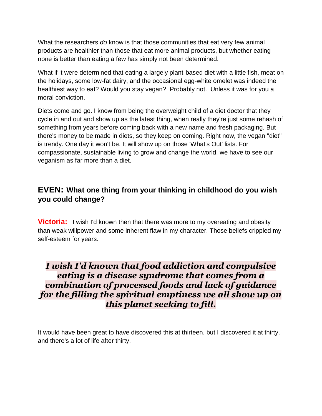What the researchers *do* know is that those communities that eat very few animal products are healthier than those that eat more animal products, but whether eating none is better than eating a few has simply not been determined.

What if it were determined that eating a largely plant-based diet with a little fish, meat on the holidays, some low-fat dairy, and the occasional egg-white omelet was indeed the healthiest way to eat? Would you stay vegan? Probably not. Unless it was for you a moral conviction.

Diets come and go. I know from being the overweight child of a diet doctor that they cycle in and out and show up as the latest thing, when really they're just some rehash of something from years before coming back with a new name and fresh packaging. But there's money to be made in diets, so they keep on coming. Right now, the vegan "diet" is trendy. One day it won't be. It will show up on those 'What's Out' lists. For compassionate, sustainable living to grow and change the world, we have to see our veganism as far more than a diet.

### **EVEN: What one thing from your thinking in childhood do you wish you could change?**

**Victoria:** I wish I'd known then that there was more to my overeating and obesity than weak willpower and some inherent flaw in my character. Those beliefs crippled my self-esteem for years.

# *I wish I'd known that food addiction and compulsive eating is a disease syndrome that comes from a combination of processed foods and lack of guidance for the filling the spiritual emptiness we all show up on this planet seeking to fill.*

It would have been great to have discovered this at thirteen, but I discovered it at thirty, and there's a lot of life after thirty.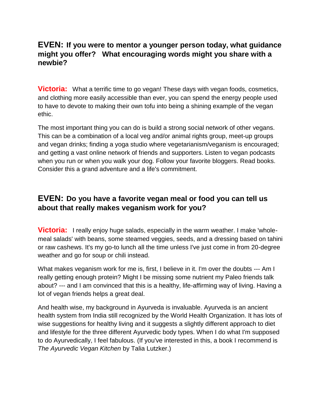#### **EVEN: If you were to mentor a younger person today, what guidance might you offer? What encouraging words might you share with a newbie?**

**Victoria:** What a terrific time to go vegan! These days with vegan foods, cosmetics, and clothing more easily accessible than ever, you can spend the energy people used to have to devote to making their own tofu into being a shining example of the vegan ethic.

The most important thing you can do is build a strong social network of other vegans. This can be a combination of a local veg and/or animal rights group, meet-up groups and vegan drinks; finding a yoga studio where vegetarianism/veganism is encouraged; and getting a vast online network of friends and supporters. Listen to vegan podcasts when you run or when you walk your dog. Follow your favorite bloggers. Read books. Consider this a grand adventure and a life's commitment.

### **EVEN: Do you have a favorite vegan meal or food you can tell us about that really makes veganism work for you?**

**Victoria:** I really enjoy huge salads, especially in the warm weather. I make 'wholemeal salads' with beans, some steamed veggies, seeds, and a dressing based on tahini or raw cashews. It's my go-to lunch all the time unless I've just come in from 20-degree weather and go for soup or chili instead.

What makes veganism work for me is, first, I believe in it. I'm over the doubts --- Am I really getting enough protein? Might I be missing some nutrient my Paleo friends talk about? --- and I am convinced that this is a healthy, life-affirming way of living. Having a lot of vegan friends helps a great deal.

And health wise, my background in Ayurveda is invaluable. Ayurveda is an ancient health system from India still recognized by the World Health Organization. It has lots of wise suggestions for healthy living and it suggests a slightly different approach to diet and lifestyle for the three different Ayurvedic body types. When I do what I'm supposed to do Ayurvedically, I feel fabulous. (If you've interested in this, a book I recommend is *The Ayurvedic Vegan Kitchen* by Talia Lutzker.)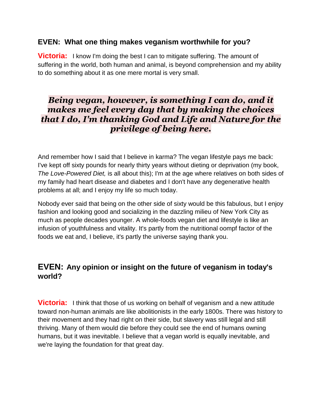#### **EVEN: What one thing makes veganism worthwhile for you?**

**Victoria:** I know I'm doing the best I can to mitigate suffering. The amount of suffering in the world, both human and animal, is beyond comprehension and my ability to do something about it as one mere mortal is very small.

# *Being vegan, however, is something I can do, and it makes me feel every day that by making the choices that I do, I'm thanking God and Life and Nature for the privilege of being here.*

And remember how I said that I believe in karma? The vegan lifestyle pays me back: I've kept off sixty pounds for nearly thirty years without dieting or deprivation (my book, *The Love-Powered Diet,* is all about this); I'm at the age where relatives on both sides of my family had heart disease and diabetes and I don't have any degenerative health problems at all; and I enjoy my life so much today.

Nobody ever said that being on the other side of sixty would be this fabulous, but I enjoy fashion and looking good and socializing in the dazzling milieu of New York City as much as people decades younger. A whole-foods vegan diet and lifestyle is like an infusion of youthfulness and vitality. It's partly from the nutritional oompf factor of the foods we eat and, I believe, it's partly the universe saying thank you.

## **EVEN: Any opinion or insight on the future of veganism in today's world?**

**Victoria:** I think that those of us working on behalf of veganism and a new attitude toward non-human animals are like abolitionists in the early 1800s. There was history to their movement and they had right on their side, but slavery was still legal and still thriving. Many of them would die before they could see the end of humans owning humans, but it was inevitable. I believe that a vegan world is equally inevitable, and we're laying the foundation for that great day.